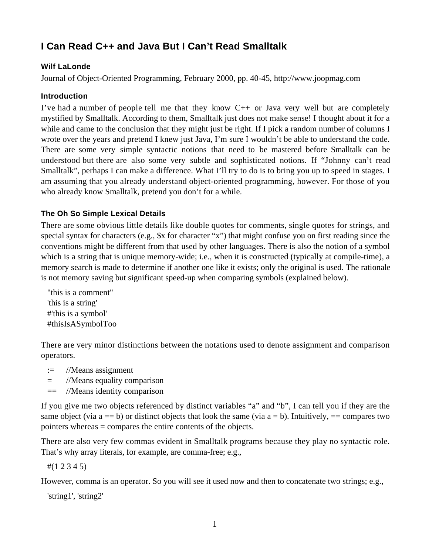# **I Can Read C++ and Java But I Can't Read Smalltalk**

# **Wilf LaLonde**

Journal of Object-Oriented Programming, February 2000, pp. 40-45, http://www.joopmag.com

### **Introduction**

I've had a number of people tell me that they know  $C_{++}$  or Java very well but are completely mystified by Smalltalk. According to them, Smalltalk just does not make sense! I thought about it for a while and came to the conclusion that they might just be right. If I pick a random number of columns I wrote over the years and pretend I knew just Java, I'm sure I wouldn't be able to understand the code. There are some very simple syntactic notions that need to be mastered before Smalltalk can be understood but there are also some very subtle and sophisticated notions. If "Johnny can't read Smalltalk", perhaps I can make a difference. What I'll try to do is to bring you up to speed in stages. I am assuming that you already understand object-oriented programming, however. For those of you who already know Smalltalk, pretend you don't for a while.

# **The Oh So Simple Lexical Details**

There are some obvious little details like double quotes for comments, single quotes for strings, and special syntax for characters (e.g., \$x for character "x") that might confuse you on first reading since the conventions might be different from that used by other languages. There is also the notion of a symbol which is a string that is unique memory-wide; i.e., when it is constructed (typically at compile-time), a memory search is made to determine if another one like it exists; only the original is used. The rationale is not memory saving but significant speed-up when comparing symbols (explained below).

"this is a comment" 'this is a string' #'this is a symbol' #thisIsASymbolToo

There are very minor distinctions between the notations used to denote assignment and comparison operators.

- := //Means assignment
- = //Means equality comparison
- == //Means identity comparison

If you give me two objects referenced by distinct variables "a" and "b", I can tell you if they are the same object (via  $a = b$ ) or distinct objects that look the same (via  $a = b$ ). Intuitively,  $a = 0$  compares two pointers whereas = compares the entire contents of the objects.

There are also very few commas evident in Smalltalk programs because they play no syntactic role. That's why array literals, for example, are comma-free; e.g.,

#(1 2 3 4 5)

However, comma is an operator. So you will see it used now and then to concatenate two strings; e.g.,

'string1', 'string2'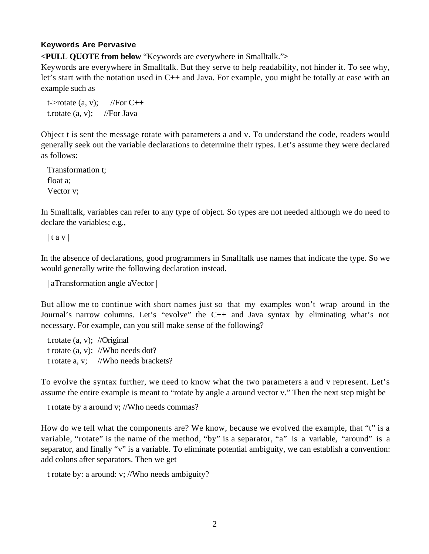# **Keywords Are Pervasive**

**<PULL QUOTE from below** "Keywords are everywhere in Smalltalk."**>**

Keywords are everywhere in Smalltalk. But they serve to help readability, not hinder it. To see why, let's start with the notation used in C++ and Java. For example, you might be totally at ease with an example such as

t- $>$ rotate (a, v); //For C++ t.rotate  $(a, v)$ ; //For Java

Object t is sent the message rotate with parameters a and v. To understand the code, readers would generally seek out the variable declarations to determine their types. Let's assume they were declared as follows:

Transformation t; float a; Vector v;

In Smalltalk, variables can refer to any type of object. So types are not needed although we do need to declare the variables; e.g.,

 $|$  t a v  $|$ 

In the absence of declarations, good programmers in Smalltalk use names that indicate the type. So we would generally write the following declaration instead.

| aTransformation angle aVector |

But allow me to continue with short names just so that my examples won't wrap around in the Journal's narrow columns. Let's "evolve" the C++ and Java syntax by eliminating what's not necessary. For example, can you still make sense of the following?

t.rotate (a, v); //Original t rotate (a, v); //Who needs dot? t rotate a, v; //Who needs brackets?

To evolve the syntax further, we need to know what the two parameters a and v represent. Let's assume the entire example is meant to "rotate by angle a around vector v." Then the next step might be

t rotate by a around v; //Who needs commas?

How do we tell what the components are? We know, because we evolved the example, that "t" is a variable, "rotate" is the name of the method, "by" is a separator, "a" is a variable, "around" is a separator, and finally "v" is a variable. To eliminate potential ambiguity, we can establish a convention: add colons after separators. Then we get

t rotate by: a around: v; //Who needs ambiguity?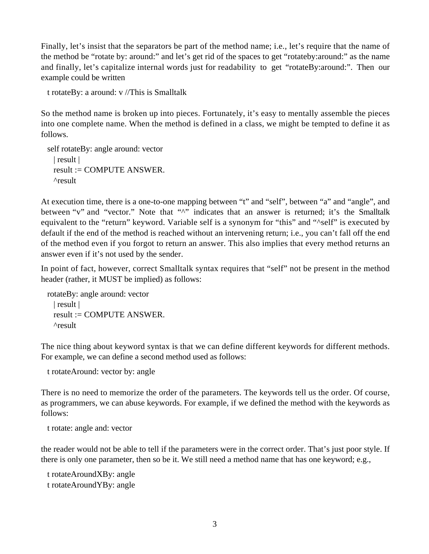Finally, let's insist that the separators be part of the method name; i.e., let's require that the name of the method be "rotate by: around:" and let's get rid of the spaces to get "rotateby:around:" as the name and finally, let's capitalize internal words just for readability to get "rotateBy:around:". Then our example could be written

t rotateBy: a around: v //This is Smalltalk

So the method name is broken up into pieces. Fortunately, it's easy to mentally assemble the pieces into one complete name. When the method is defined in a class, we might be tempted to define it as follows.

```
self rotateBy: angle around: vector
 | result |
 result := COMPUTE ANSWER.
 ^result
```
At execution time, there is a one-to-one mapping between "t" and "self", between "a" and "angle", and between "v" and "vector." Note that "^" indicates that an answer is returned; it's the Smalltalk equivalent to the "return" keyword. Variable self is a synonym for "this" and "^self" is executed by default if the end of the method is reached without an intervening return; i.e., you can't fall off the end of the method even if you forgot to return an answer. This also implies that every method returns an answer even if it's not used by the sender.

In point of fact, however, correct Smalltalk syntax requires that "self" not be present in the method header (rather, it MUST be implied) as follows:

rotateBy: angle around: vector | result | result := COMPUTE ANSWER. ^result

The nice thing about keyword syntax is that we can define different keywords for different methods. For example, we can define a second method used as follows:

t rotateAround: vector by: angle

There is no need to memorize the order of the parameters. The keywords tell us the order. Of course, as programmers, we can abuse keywords. For example, if we defined the method with the keywords as follows:

t rotate: angle and: vector

the reader would not be able to tell if the parameters were in the correct order. That's just poor style. If there is only one parameter, then so be it. We still need a method name that has one keyword; e.g.,

t rotateAroundXBy: angle t rotateAroundYBy: angle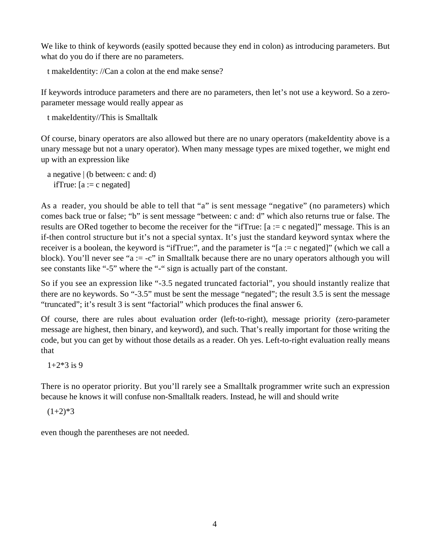We like to think of keywords (easily spotted because they end in colon) as introducing parameters. But what do you do if there are no parameters.

t makeIdentity: //Can a colon at the end make sense?

If keywords introduce parameters and there are no parameters, then let's not use a keyword. So a zeroparameter message would really appear as

t makeIdentity//This is Smalltalk

Of course, binary operators are also allowed but there are no unary operators (makeIdentity above is a unary message but not a unary operator). When many message types are mixed together, we might end up with an expression like

a negative | (b between: c and: d) ifTrue:  $[a := c \text{ negated}]$ 

As a reader, you should be able to tell that "a" is sent message "negative" (no parameters) which comes back true or false; "b" is sent message "between: c and: d" which also returns true or false. The results are ORed together to become the receiver for the "ifTrue: [a := c negated]" message. This is an if-then control structure but it's not a special syntax. It's just the standard keyword syntax where the receiver is a boolean, the keyword is "ifTrue:", and the parameter is "[a := c negated]" (which we call a block). You'll never see "a := -c" in Smalltalk because there are no unary operators although you will see constants like "-5" where the "-" sign is actually part of the constant.

So if you see an expression like "-3.5 negated truncated factorial", you should instantly realize that there are no keywords. So "-3.5" must be sent the message "negated"; the result 3.5 is sent the message "truncated"; it's result 3 is sent "factorial" which produces the final answer 6.

Of course, there are rules about evaluation order (left-to-right), message priority (zero-parameter message are highest, then binary, and keyword), and such. That's really important for those writing the code, but you can get by without those details as a reader. Oh yes. Left-to-right evaluation really means that

 $1+2*3$  is 9

There is no operator priority. But you'll rarely see a Smalltalk programmer write such an expression because he knows it will confuse non-Smalltalk readers. Instead, he will and should write

 $(1+2)*3$ 

even though the parentheses are not needed.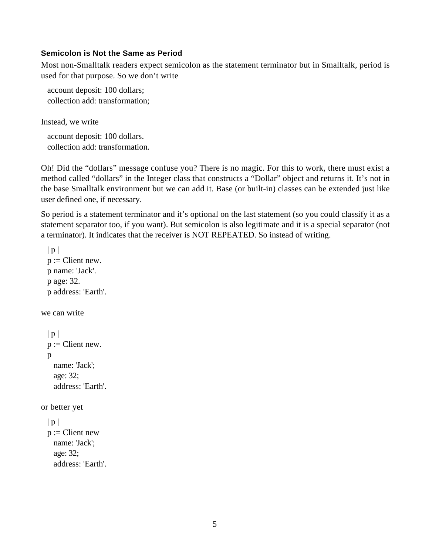#### **Semicolon is Not the Same as Period**

Most non-Smalltalk readers expect semicolon as the statement terminator but in Smalltalk, period is used for that purpose. So we don't write

account deposit: 100 dollars; collection add: transformation;

Instead, we write

account deposit: 100 dollars. collection add: transformation.

Oh! Did the "dollars" message confuse you? There is no magic. For this to work, there must exist a method called "dollars" in the Integer class that constructs a "Dollar" object and returns it. It's not in the base Smalltalk environment but we can add it. Base (or built-in) classes can be extended just like user defined one, if necessary.

So period is a statement terminator and it's optional on the last statement (so you could classify it as a statement separator too, if you want). But semicolon is also legitimate and it is a special separator (not a terminator). It indicates that the receiver is NOT REPEATED. So instead of writing.

```
|p|p :=Client new.
  p name: 'Jack'.
  p age: 32.
 p address: 'Earth'.
we can write
 |p|p :=Client new.
  p
   name: 'Jack';
   age: 32;
   address: 'Earth'.
or better yet
 |p|p :=Client new
   name: 'Jack';
   age: 32;
   address: 'Earth'.
```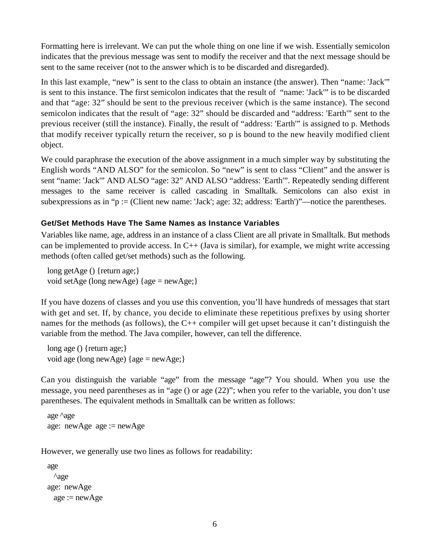Formatting here is irrelevant. We can put the whole thing on one line if we wish. Essentially semicolon indicates that the previous message was sent to modify the receiver and that the next message should be sent to the same receiver (not to the answer which is to be discarded and disregarded).

In this last example, "new" is sent to the class to obtain an instance (the answer). Then "name: 'Jack'" is sent to this instance. The first semicolon indicates that the result of "name: 'Jack'" is to be discarded and that "age: 32" should be sent to the previous receiver (which is the same instance). The second semicolon indicates that the result of "age: 32" should be discarded and "address: 'Earth'" sent to the previous receiver (still the instance). Finally, the result of "address: 'Earth'" is assigned to p. Methods that modify receiver typically return the receiver, so p is bound to the new heavily modified client object.

We could paraphrase the execution of the above assignment in a much simpler way by substituting the English words "AND ALSO" for the semicolon. So "new" is sent to class "Client" and the answer is sent "name: 'Jack'" AND ALSO "age: 32" AND ALSO "address: 'Earth'". Repeatedly sending different messages to the same receiver is called cascading in Smalltalk. Semicolons can also exist in subexpressions as in "p := (Client new name: 'Jack'; age: 32; address: 'Earth')"—notice the parentheses.

# **Get/Set Methods Have The Same Names as Instance Variables**

Variables like name, age, address in an instance of a class Client are all private in Smalltalk. But methods can be implemented to provide access. In C++ (Java is similar), for example, we might write accessing methods (often called get/set methods) such as the following.

long getAge () {return age;} void setAge (long newAge) {age = newAge;}

If you have dozens of classes and you use this convention, you'll have hundreds of messages that start with get and set. If, by chance, you decide to eliminate these repetitious prefixes by using shorter names for the methods (as follows), the C++ compiler will get upset because it can't distinguish the variable from the method. The Java compiler, however, can tell the difference.

long age () {return age; } void age (long newAge) {age = newAge;}

Can you distinguish the variable "age" from the message "age"? You should. When you use the message, you need parentheses as in "age () or age (22)"; when you refer to the variable, you don't use parentheses. The equivalent methods in Smalltalk can be written as follows:

```
age ^age
age: newAge \nvert = newAge
```
However, we generally use two lines as follows for readability:

```
age
 ^age
age: newAge
 age := newAge
```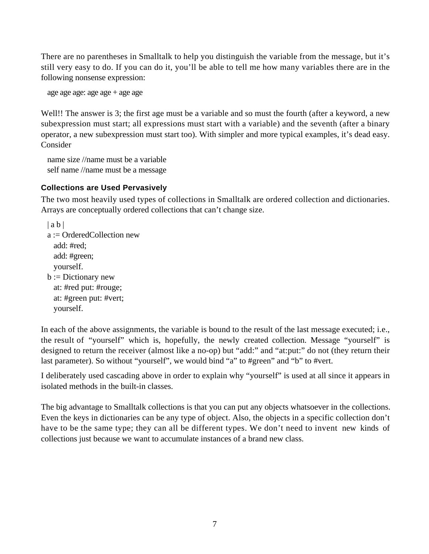There are no parentheses in Smalltalk to help you distinguish the variable from the message, but it's still very easy to do. If you can do it, you'll be able to tell me how many variables there are in the following nonsense expression:

age age age:  $age \, age + age \, age$ 

Well!! The answer is 3; the first age must be a variable and so must the fourth (after a keyword, a new subexpression must start; all expressions must start with a variable) and the seventh (after a binary operator, a new subexpression must start too). With simpler and more typical examples, it's dead easy. Consider

name size //name must be a variable self name //name must be a message

### **Collections are Used Pervasively**

The two most heavily used types of collections in Smalltalk are ordered collection and dictionaries. Arrays are conceptually ordered collections that can't change size.

 $|ab|$ a := OrderedCollection new add: #red; add: #green; yourself.  $b := Dictionary$  new at: #red put: #rouge;

at: #green put: #vert; yourself.

In each of the above assignments, the variable is bound to the result of the last message executed; i.e., the result of "yourself" which is, hopefully, the newly created collection. Message "yourself" is designed to return the receiver (almost like a no-op) but "add:" and "at:put:" do not (they return their last parameter). So without "yourself", we would bind "a" to #green" and "b" to #vert.

I deliberately used cascading above in order to explain why "yourself" is used at all since it appears in isolated methods in the built-in classes.

The big advantage to Smalltalk collections is that you can put any objects whatsoever in the collections. Even the keys in dictionaries can be any type of object. Also, the objects in a specific collection don't have to be the same type; they can all be different types. We don't need to invent new kinds of collections just because we want to accumulate instances of a brand new class.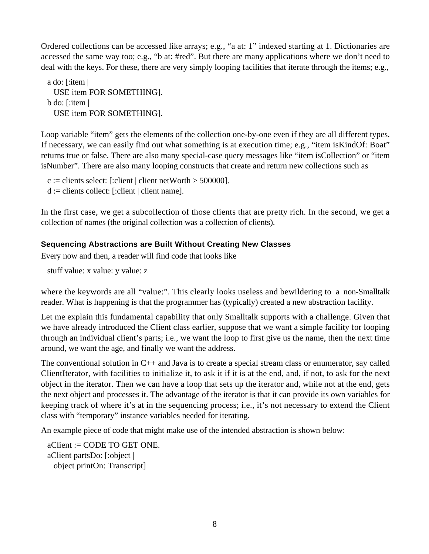Ordered collections can be accessed like arrays; e.g., "a at: 1" indexed starting at 1. Dictionaries are accessed the same way too; e.g., "b at: #red". But there are many applications where we don't need to deal with the keys. For these, there are very simply looping facilities that iterate through the items; e.g.,

a do: [:item | USE item FOR SOMETHING]. b do: [:item | USE item FOR SOMETHING].

Loop variable "item" gets the elements of the collection one-by-one even if they are all different types. If necessary, we can easily find out what something is at execution time; e.g., "item isKindOf: Boat" returns true or false. There are also many special-case query messages like "item isCollection" or "item isNumber". There are also many looping constructs that create and return new collections such as

 $c :=$  clients select: [:client | client netWorth > 500000].  $d :=$  clients collect: [:client | client name].

In the first case, we get a subcollection of those clients that are pretty rich. In the second, we get a collection of names (the original collection was a collection of clients).

# **Sequencing Abstractions are Built Without Creating New Classes**

Every now and then, a reader will find code that looks like

stuff value: x value: y value: z

where the keywords are all "value:". This clearly looks useless and bewildering to a non-Smalltalk reader. What is happening is that the programmer has (typically) created a new abstraction facility.

Let me explain this fundamental capability that only Smalltalk supports with a challenge. Given that we have already introduced the Client class earlier, suppose that we want a simple facility for looping through an individual client's parts; i.e., we want the loop to first give us the name, then the next time around, we want the age, and finally we want the address.

The conventional solution in  $C_{++}$  and Java is to create a special stream class or enumerator, say called ClientIterator, with facilities to initialize it, to ask it if it is at the end, and, if not, to ask for the next object in the iterator. Then we can have a loop that sets up the iterator and, while not at the end, gets the next object and processes it. The advantage of the iterator is that it can provide its own variables for keeping track of where it's at in the sequencing process; i.e., it's not necessary to extend the Client class with "temporary" instance variables needed for iterating.

An example piece of code that might make use of the intended abstraction is shown below:

 $aClient := CODE TO GET ONE.$ aClient partsDo: [:object | object printOn: Transcript]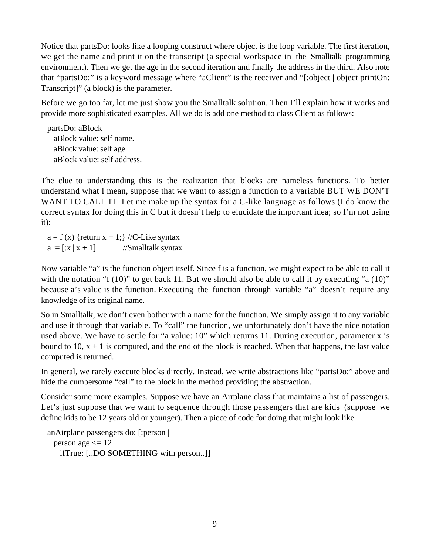Notice that partsDo: looks like a looping construct where object is the loop variable. The first iteration, we get the name and print it on the transcript (a special workspace in the Smalltalk programming environment). Then we get the age in the second iteration and finally the address in the third. Also note that "partsDo:" is a keyword message where "aClient" is the receiver and "[:object | object printOn: Transcript]" (a block) is the parameter.

Before we go too far, let me just show you the Smalltalk solution. Then I'll explain how it works and provide more sophisticated examples. All we do is add one method to class Client as follows:

partsDo: aBlock aBlock value: self name. aBlock value: self age. aBlock value: self address.

The clue to understanding this is the realization that blocks are nameless functions. To better understand what I mean, suppose that we want to assign a function to a variable BUT WE DON'T WANT TO CALL IT. Let me make up the syntax for a C-like language as follows (I do know the correct syntax for doing this in C but it doesn't help to elucidate the important idea; so I'm not using it):

 $a = f(x)$  {return  $x + 1$ ;} //C-Like syntax  $a := [x | x + 1]$  //Smalltalk syntax

Now variable "a" is the function object itself. Since f is a function, we might expect to be able to call it with the notation "f  $(10)$ " to get back 11. But we should also be able to call it by executing "a  $(10)$ " because a's value is the function. Executing the function through variable "a" doesn't require any knowledge of its original name.

So in Smalltalk, we don't even bother with a name for the function. We simply assign it to any variable and use it through that variable. To "call" the function, we unfortunately don't have the nice notation used above. We have to settle for "a value: 10" which returns 11. During execution, parameter x is bound to 10,  $x + 1$  is computed, and the end of the block is reached. When that happens, the last value computed is returned.

In general, we rarely execute blocks directly. Instead, we write abstractions like "partsDo:" above and hide the cumbersome "call" to the block in the method providing the abstraction.

Consider some more examples. Suppose we have an Airplane class that maintains a list of passengers. Let's just suppose that we want to sequence through those passengers that are kids (suppose we define kids to be 12 years old or younger). Then a piece of code for doing that might look like

```
anAirplane passengers do: [:person |
 person age \leq 12
   ifTrue: [..DO SOMETHING with person..]]
```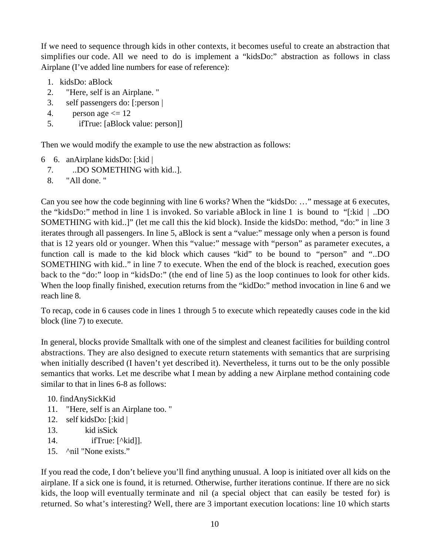If we need to sequence through kids in other contexts, it becomes useful to create an abstraction that simplifies our code. All we need to do is implement a "kidsDo:" abstraction as follows in class Airplane (I've added line numbers for ease of reference):

- 1. kidsDo: aBlock
- 2. "Here, self is an Airplane. "
- 3. self passengers do: [:person |
- 4. person age  $\leq 12$
- 5. ifTrue: [aBlock value: person]]

Then we would modify the example to use the new abstraction as follows:

- 6 6. anAirplane kidsDo: [:kid |
	- 7. ..DO SOMETHING with kid..].
	- 8. "All done. "

Can you see how the code beginning with line 6 works? When the "kidsDo: …" message at 6 executes, the "kidsDo:" method in line 1 is invoked. So variable aBlock in line 1 is bound to "[:kid | ..DO SOMETHING with kid..]" (let me call this the kid block). Inside the kidsDo: method, "do:" in line 3 iterates through all passengers. In line 5, aBlock is sent a "value:" message only when a person is found that is 12 years old or younger. When this "value:" message with "person" as parameter executes, a function call is made to the kid block which causes "kid" to be bound to "person" and "..DO SOMETHING with kid.." in line 7 to execute. When the end of the block is reached, execution goes back to the "do:" loop in "kidsDo:" (the end of line 5) as the loop continues to look for other kids. When the loop finally finished, execution returns from the "kidDo:" method invocation in line 6 and we reach line 8.

To recap, code in 6 causes code in lines 1 through 5 to execute which repeatedly causes code in the kid block (line 7) to execute.

In general, blocks provide Smalltalk with one of the simplest and cleanest facilities for building control abstractions. They are also designed to execute return statements with semantics that are surprising when initially described (I haven't yet described it). Nevertheless, it turns out to be the only possible semantics that works. Let me describe what I mean by adding a new Airplane method containing code similar to that in lines 6-8 as follows:

10. findAnySickKid

- 11. "Here, self is an Airplane too. "
- 12. self kidsDo: [:kid |
- 13. kid isSick
- 14. ifTrue: [^kid]].
- 15. ^nil "None exists."

If you read the code, I don't believe you'll find anything unusual. A loop is initiated over all kids on the airplane. If a sick one is found, it is returned. Otherwise, further iterations continue. If there are no sick kids, the loop will eventually terminate and nil (a special object that can easily be tested for) is returned. So what's interesting? Well, there are 3 important execution locations: line 10 which starts